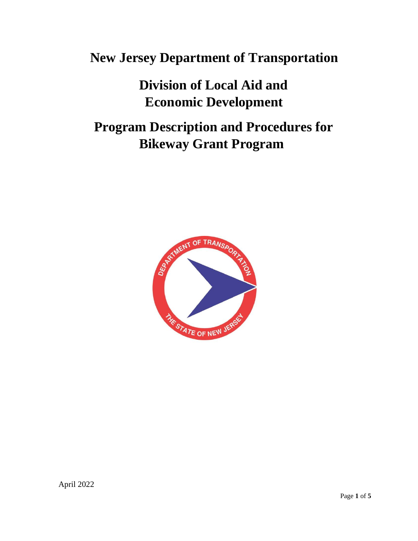# **New Jersey Department of Transportation**

# **Division of Local Aid and Economic Development**

# **Program Description and Procedures for Bikeway Grant Program**

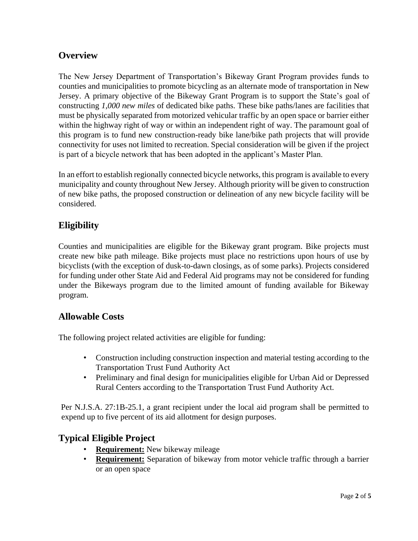# **Overview**

The New Jersey Department of Transportation's Bikeway Grant Program provides funds to counties and municipalities to promote bicycling as an alternate mode of transportation in New Jersey. A primary objective of the Bikeway Grant Program is to support the State's goal of constructing *1,000 new miles* of dedicated bike paths. These bike paths/lanes are facilities that must be physically separated from motorized vehicular traffic by an open space or barrier either within the highway right of way or within an independent right of way. The paramount goal of this program is to fund new construction-ready bike lane/bike path projects that will provide connectivity for uses not limited to recreation. Special consideration will be given if the project is part of a bicycle network that has been adopted in the applicant's Master Plan.

In an effort to establish regionally connected bicycle networks, this program is available to every municipality and county throughout New Jersey. Although priority will be given to construction of new bike paths, the proposed construction or delineation of any new bicycle facility will be considered.

## **Eligibility**

Counties and municipalities are eligible for the Bikeway grant program. Bike projects must create new bike path mileage. Bike projects must place no restrictions upon hours of use by bicyclists (with the exception of dusk-to-dawn closings, as of some parks). Projects considered for funding under other State Aid and Federal Aid programs may not be considered for funding under the Bikeways program due to the limited amount of funding available for Bikeway program.

## **Allowable Costs**

The following project related activities are eligible for funding:

- Construction including construction inspection and material testing according to the Transportation Trust Fund Authority Act
- Preliminary and final design for municipalities eligible for Urban Aid or Depressed Rural Centers according to the Transportation Trust Fund Authority Act.

Per N.J.S.A. 27:1B-25.1, a grant recipient under the local aid program shall be permitted to expend up to five percent of its aid allotment for design purposes.

## **Typical Eligible Project**

- **Requirement:** New bikeway mileage
- **Requirement:** Separation of bikeway from motor vehicle traffic through a barrier or an open space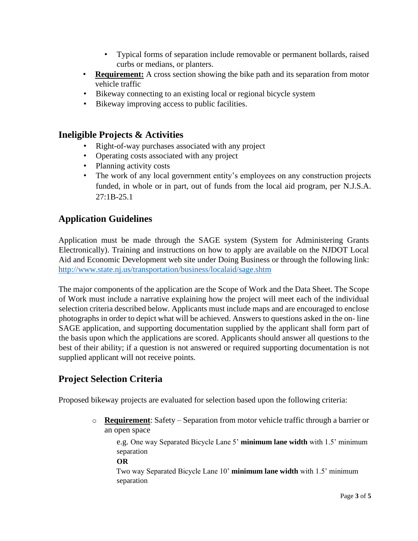- Typical forms of separation include removable or permanent bollards, raised curbs or medians, or planters.
- **Requirement:** A cross section showing the bike path and its separation from motor vehicle traffic
- Bikeway connecting to an existing local or regional bicycle system
- Bikeway improving access to public facilities.

## **Ineligible Projects & Activities**

- Right-of-way purchases associated with any project
- Operating costs associated with any project
- Planning activity costs
- The work of any local government entity's employees on any construction projects funded, in whole or in part, out of funds from the local aid program, per N.J.S.A. 27:1B-25.1

# **Application Guidelines**

Application must be made through the SAGE system (System for Administering Grants Electronically). Training and instructions on how to apply are available on the NJDOT Local Aid and Economic Development web site under Doing Business or through the following link: <http://www.state.nj.us/transportation/business/localaid/sage.shtm>

The major components of the application are the Scope of Work and the Data Sheet. The Scope of Work must include a narrative explaining how the project will meet each of the individual selection criteria described below. Applicants must include maps and are encouraged to enclose photographs in order to depict what will be achieved. Answers to questions asked in the on- line SAGE application, and supporting documentation supplied by the applicant shall form part of the basis upon which the applications are scored. Applicants should answer all questions to the best of their ability; if a question is not answered or required supporting documentation is not supplied applicant will not receive points.

# **Project Selection Criteria**

Proposed bikeway projects are evaluated for selection based upon the following criteria:

o **Requirement**: Safety – Separation from motor vehicle traffic through a barrier or an open space

e.g. One way Separated Bicycle Lane 5' **minimum lane width** with 1.5' minimum separation

#### **OR**

Two way Separated Bicycle Lane 10' **minimum lane width** with 1.5' minimum separation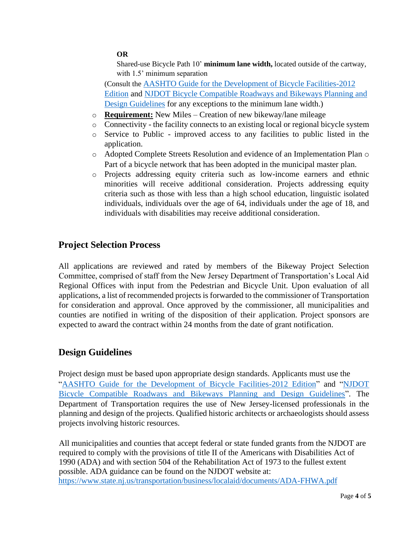#### **OR**

Shared-use Bicycle Path 10' **minimum lane width,** located outside of the cartway, with 1.5<sup>'</sup> minimum separation

(Consult the [AASHTO Guide for the Development of Bicycle Facilities-2012](https://njdotlocalaidrc.com/perch/resources/aashto-gbf-4-2012-bicycle.pdf)  [Edition](https://njdotlocalaidrc.com/perch/resources/aashto-gbf-4-2012-bicycle.pdf) and [NJDOT Bicycle Compatible Roadways and Bikeways Planning and](https://njdotlocalaidrc.com/perch/resources/Uploads/-bicycle-compatible-roadways-and-bikeways-planning-and-design-guidelines.pdf)  [Design Guidelines](https://njdotlocalaidrc.com/perch/resources/Uploads/-bicycle-compatible-roadways-and-bikeways-planning-and-design-guidelines.pdf) for any exceptions to the minimum lane width.)

- o **Requirement:** New Miles Creation of new bikeway/lane mileage
- o Connectivity the facility connects to an existing local or regional bicycle system
- o Service to Public improved access to any facilities to public listed in the application.
- o Adopted Complete Streets Resolution and evidence of an Implementation Plan o Part of a bicycle network that has been adopted in the municipal master plan.
- o Projects addressing equity criteria such as low-income earners and ethnic minorities will receive additional consideration. Projects addressing equity criteria such as those with less than a high school education, linguistic isolated individuals, individuals over the age of 64, individuals under the age of 18, and individuals with disabilities may receive additional consideration.

## **Project Selection Process**

All applications are reviewed and rated by members of the Bikeway Project Selection Committee, comprised of staff from the New Jersey Department of Transportation's Local Aid Regional Offices with input from the Pedestrian and Bicycle Unit. Upon evaluation of all applications, a list of recommended projects is forwarded to the commissioner of Transportation for consideration and approval. Once approved by the commissioner, all municipalities and counties are notified in writing of the disposition of their application. Project sponsors are expected to award the contract within 24 months from the date of grant notification.

## **Design Guidelines**

Project design must be based upon appropriate design standards. Applicants must use the ["AASHTO Guide for the Development of Bicycle Facilities-2012 Edition"](https://njdotlocalaidrc.com/perch/resources/aashto-gbf-4-2012-bicycle.pdf) and ["NJDOT](https://njdotlocalaidrc.com/perch/resources/Uploads/-bicycle-compatible-roadways-and-bikeways-planning-and-design-guidelines.pdf)  [Bicycle Compatible Roadways and Bikeways Planning and Design Guidelines"](https://njdotlocalaidrc.com/perch/resources/Uploads/-bicycle-compatible-roadways-and-bikeways-planning-and-design-guidelines.pdf). The Department of Transportation requires the use of New Jersey-licensed professionals in the planning and design of the projects. Qualified historic architects or archaeologists should assess projects involving historic resources.

All municipalities and counties that accept federal or state funded grants from the NJDOT are required to comply with the provisions of title II of the Americans with Disabilities Act of 1990 (ADA) and with section 504 of the Rehabilitation Act of 1973 to the fullest extent possible. ADA guidance can be found on the NJDOT website at: <https://www.state.nj.us/transportation/business/localaid/documents/ADA-FHWA.pdf>